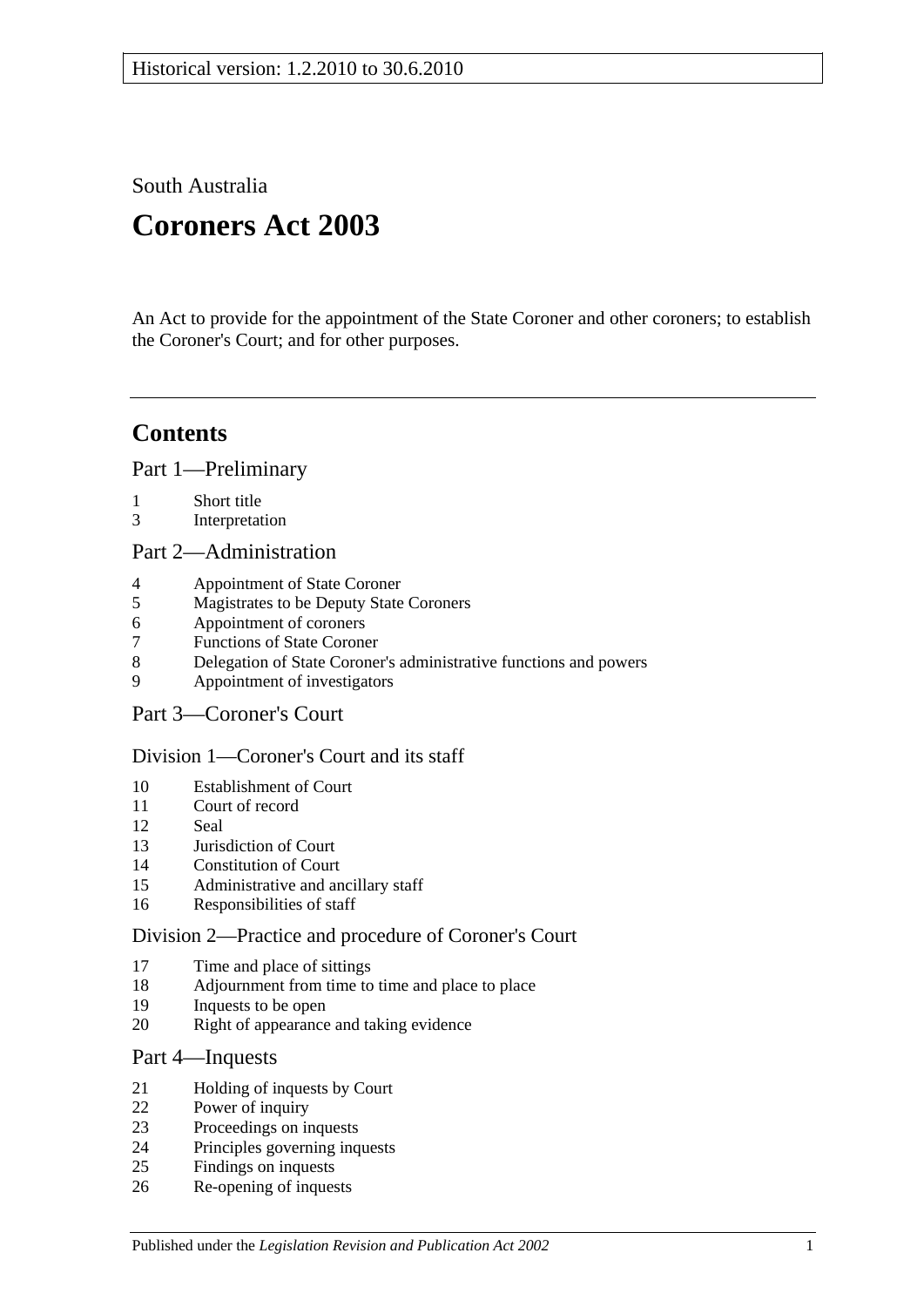South Australia

# **Coroners Act 2003**

An Act to provide for the appointment of the State Coroner and other coroners; to establish the Coroner's Court; and for other purposes.

## **Contents**

[Part 1—Preliminary](#page-1-0)

- [Short title](#page-1-1)
- [Interpretation](#page-1-2)

#### [Part 2—Administration](#page-4-0)

- [Appointment of State Coroner](#page-4-1)
- [Magistrates to be Deputy State Coroners](#page-4-2)
- [Appointment of coroners](#page-4-3)
- [Functions of State Coroner](#page-4-4)
- [Delegation of State Coroner's administrative functions and powers](#page-4-5)
- [Appointment of investigators](#page-5-0)
- [Part 3—Coroner's Court](#page-5-1)

## [Division 1—Coroner's Court and its staff](#page-5-2)

- [Establishment of Court](#page-5-3)
- [Court of record](#page-5-4)<br>12 Seal
- [Seal](#page-5-5)
- [Jurisdiction of Court](#page-5-6)
- [Constitution of Court](#page-5-7)
- [Administrative and ancillary staff](#page-6-0)
- [Responsibilities of staff](#page-6-1)

## [Division 2—Practice and procedure of Coroner's Court](#page-6-2)

- [Time and place of sittings](#page-6-3)
- [Adjournment from time to time and place to place](#page-6-4)
- [Inquests to be open](#page-6-5)
- [Right of appearance and taking evidence](#page-6-6)

## [Part 4—Inquests](#page-7-0)

- [Holding of inquests by Court](#page-7-1)
- [Power of inquiry](#page-7-2)
- [Proceedings on inquests](#page-8-0)
- [Principles governing inquests](#page-10-0)
- [Findings on inquests](#page-10-1)
- [Re-opening of inquests](#page-10-2)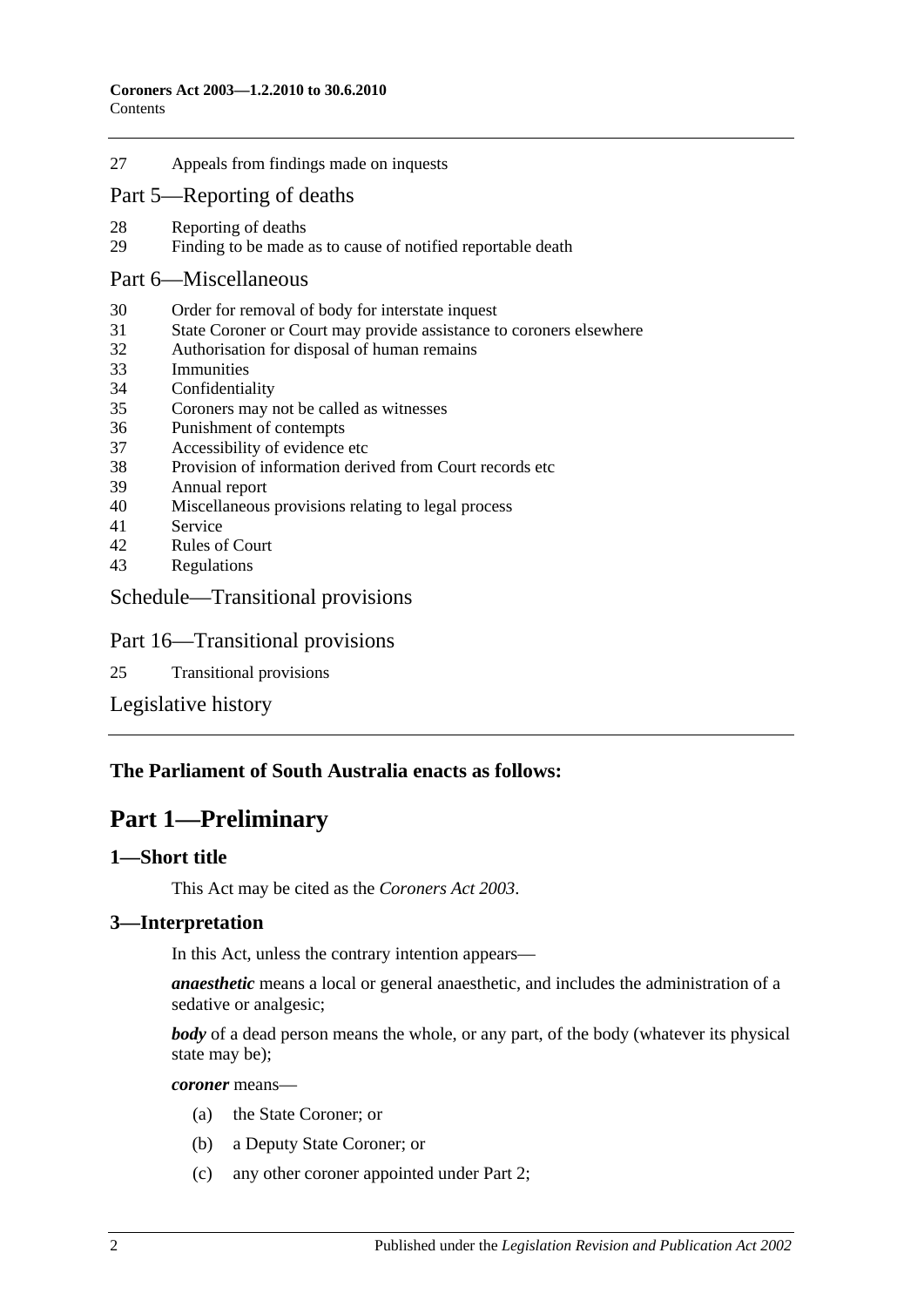27 [Appeals from findings made on inquests](#page-11-0)

### [Part 5—Reporting of deaths](#page-11-1)

- 28 [Reporting of deaths](#page-11-2)<br>29 Finding to be made
- [Finding to be made as to cause of notified reportable death](#page-12-0)

#### [Part 6—Miscellaneous](#page-12-1)

- 30 [Order for removal of body for interstate inquest](#page-12-2)
- 31 [State Coroner or Court may provide assistance to coroners elsewhere](#page-12-3)
- 32 [Authorisation for disposal of human remains](#page-12-4)
- 33 [Immunities](#page-13-0)
- 34 [Confidentiality](#page-13-1)
- 35 [Coroners may not be called as](#page-13-2) witnesses
- 36 [Punishment of contempts](#page-13-3)
- 37 [Accessibility of evidence etc](#page-13-4)
- 38 [Provision of information derived from Court records etc](#page-14-0)
- 39 [Annual report](#page-14-1)
- 40 [Miscellaneous provisions relating to legal process](#page-14-2)
- 41 [Service](#page-14-3)
- 42 [Rules of Court](#page-15-0)
- 43 [Regulations](#page-15-1)

#### [Schedule—Transitional provisions](#page-15-2)

#### Part 16—Transitional provisions

25 [Transitional provisions](#page-15-3)

[Legislative history](#page-16-0)

#### <span id="page-1-0"></span>**The Parliament of South Australia enacts as follows:**

## **Part 1—Preliminary**

#### <span id="page-1-1"></span>**1—Short title**

This Act may be cited as the *Coroners Act 2003*.

#### <span id="page-1-2"></span>**3—Interpretation**

In this Act, unless the contrary intention appears—

*anaesthetic* means a local or general anaesthetic, and includes the administration of a sedative or analgesic;

*body* of a dead person means the whole, or any part, of the body (whatever its physical state may be);

*coroner* means—

- (a) the State Coroner; or
- (b) a Deputy State Coroner; or
- (c) any other coroner appointed under [Part 2;](#page-4-0)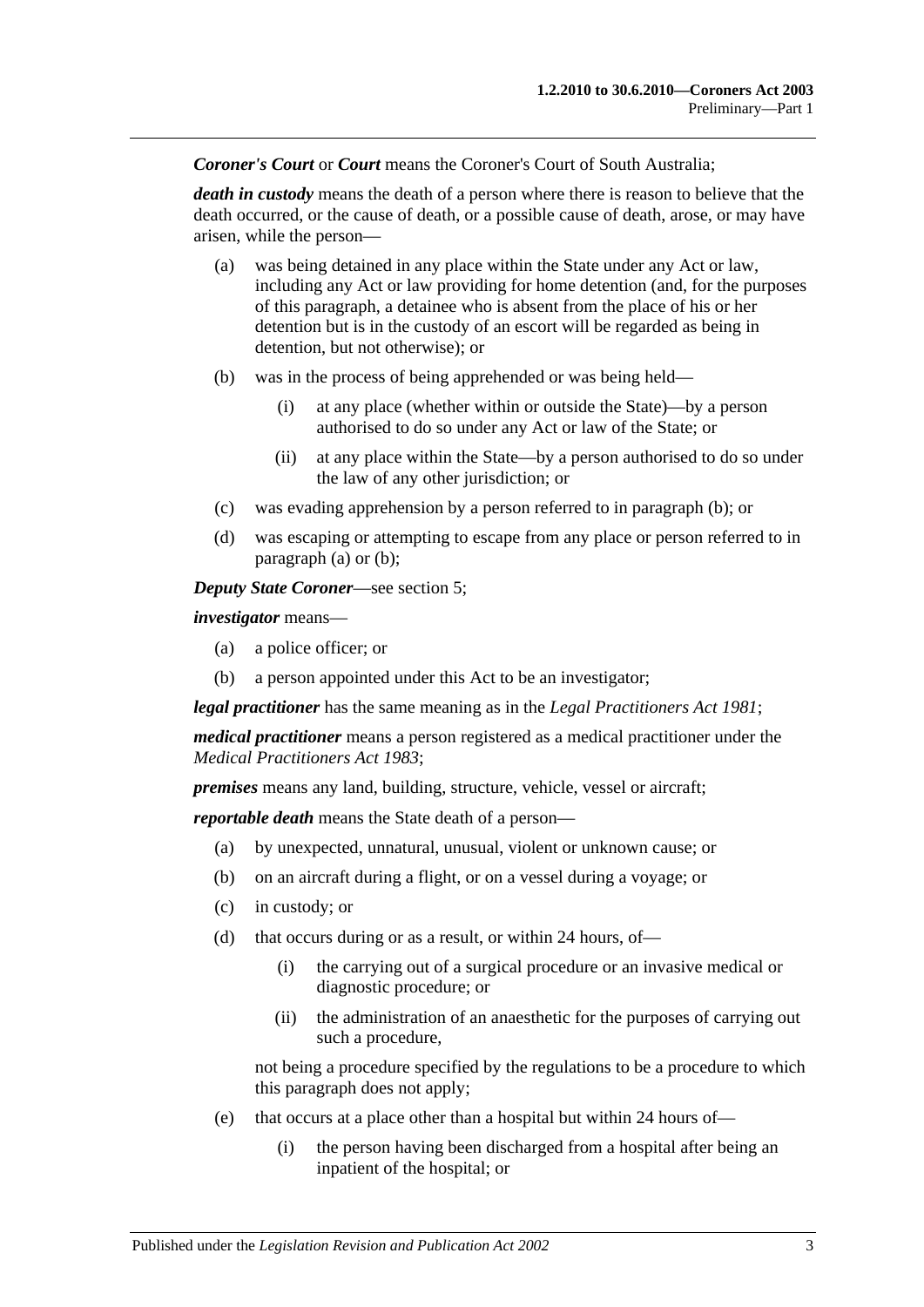*Coroner's Court* or *Court* means the Coroner's Court of South Australia;

*death in custody* means the death of a person where there is reason to believe that the death occurred, or the cause of death, or a possible cause of death, arose, or may have arisen, while the person—

- <span id="page-2-1"></span>(a) was being detained in any place within the State under any Act or law, including any Act or law providing for home detention (and, for the purposes of this paragraph, a detainee who is absent from the place of his or her detention but is in the custody of an escort will be regarded as being in detention, but not otherwise); or
- <span id="page-2-0"></span>(b) was in the process of being apprehended or was being held—
	- (i) at any place (whether within or outside the State)—by a person authorised to do so under any Act or law of the State; or
	- (ii) at any place within the State—by a person authorised to do so under the law of any other jurisdiction; or
- (c) was evading apprehension by a person referred to in [paragraph](#page-2-0) (b); or
- (d) was escaping or attempting to escape from any place or person referred to in [paragraph](#page-2-1) (a) or [\(b\);](#page-2-0)

*Deputy State Coroner*—see [section](#page-4-2) 5;

*investigator* means—

- (a) a police officer; or
- (b) a person appointed under this Act to be an investigator;

*legal practitioner* has the same meaning as in the *[Legal Practitioners Act](http://www.legislation.sa.gov.au/index.aspx?action=legref&type=act&legtitle=Legal%20Practitioners%20Act%201981) 1981*;

*medical practitioner* means a person registered as a medical practitioner under the *[Medical Practitioners Act](http://www.legislation.sa.gov.au/index.aspx?action=legref&type=act&legtitle=Medical%20Practitioners%20Act%201983) 1983*;

*premises* means any land, building, structure, vehicle, vessel or aircraft;

*reportable death* means the State death of a person—

- (a) by unexpected, unnatural, unusual, violent or unknown cause; or
- (b) on an aircraft during a flight, or on a vessel during a voyage; or
- (c) in custody; or
- (d) that occurs during or as a result, or within 24 hours, of—
	- (i) the carrying out of a surgical procedure or an invasive medical or diagnostic procedure; or
	- (ii) the administration of an anaesthetic for the purposes of carrying out such a procedure,

not being a procedure specified by the regulations to be a procedure to which this paragraph does not apply;

- (e) that occurs at a place other than a hospital but within 24 hours of—
	- (i) the person having been discharged from a hospital after being an inpatient of the hospital; or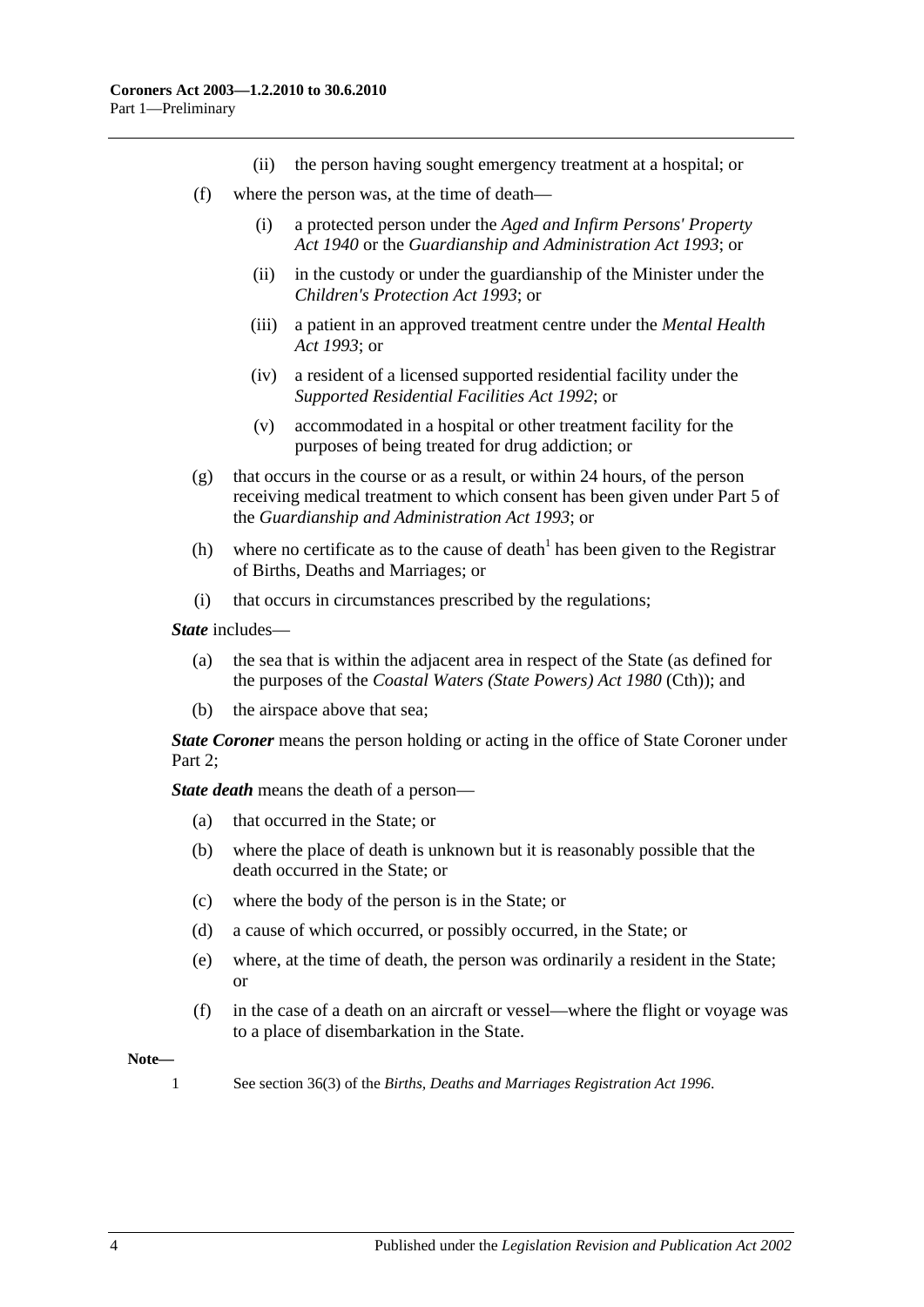- (ii) the person having sought emergency treatment at a hospital; or
- (f) where the person was, at the time of death—
	- (i) a protected person under the *[Aged and Infirm Persons' Property](http://www.legislation.sa.gov.au/index.aspx?action=legref&type=act&legtitle=Aged%20and%20Infirm%20Persons%20Property%20Act%201940)  Act [1940](http://www.legislation.sa.gov.au/index.aspx?action=legref&type=act&legtitle=Aged%20and%20Infirm%20Persons%20Property%20Act%201940)* or the *[Guardianship and Administration Act](http://www.legislation.sa.gov.au/index.aspx?action=legref&type=act&legtitle=Guardianship%20and%20Administration%20Act%201993) 1993*; or
	- (ii) in the custody or under the guardianship of the Minister under the *[Children's Protection Act](http://www.legislation.sa.gov.au/index.aspx?action=legref&type=act&legtitle=Childrens%20Protection%20Act%201993) 1993*; or
	- (iii) a patient in an approved treatment centre under the *[Mental Health](http://www.legislation.sa.gov.au/index.aspx?action=legref&type=act&legtitle=Mental%20Health%20Act%201993)  Act [1993](http://www.legislation.sa.gov.au/index.aspx?action=legref&type=act&legtitle=Mental%20Health%20Act%201993)*; or
	- (iv) a resident of a licensed supported residential facility under the *[Supported Residential Facilities Act](http://www.legislation.sa.gov.au/index.aspx?action=legref&type=act&legtitle=Supported%20Residential%20Facilities%20Act%201992) 1992*; or
	- (v) accommodated in a hospital or other treatment facility for the purposes of being treated for drug addiction; or
- (g) that occurs in the course or as a result, or within 24 hours, of the person receiving medical treatment to which consent has been given under Part 5 of the *[Guardianship and Administration Act](http://www.legislation.sa.gov.au/index.aspx?action=legref&type=act&legtitle=Guardianship%20and%20Administration%20Act%201993) 1993*; or
- (h) where no certificate as to the cause of death<sup>1</sup> has been given to the Registrar of Births, Deaths and Marriages; or
- (i) that occurs in circumstances prescribed by the regulations;

*State* includes—

- (a) the sea that is within the adjacent area in respect of the State (as defined for the purposes of the *Coastal Waters (State Powers) Act 1980* (Cth)); and
- (b) the airspace above that sea;

*State Coroner* means the person holding or acting in the office of State Coroner under Part 2:

*State death* means the death of a person—

- (a) that occurred in the State; or
- (b) where the place of death is unknown but it is reasonably possible that the death occurred in the State; or
- (c) where the body of the person is in the State; or
- (d) a cause of which occurred, or possibly occurred, in the State; or
- (e) where, at the time of death, the person was ordinarily a resident in the State; or
- (f) in the case of a death on an aircraft or vessel—where the flight or voyage was to a place of disembarkation in the State.

**Note—**

1 See section 36(3) of the *[Births, Deaths and Marriages Registration Act](http://www.legislation.sa.gov.au/index.aspx?action=legref&type=act&legtitle=Births%20Deaths%20and%20Marriages%20Registration%20Act%201996) 1996*.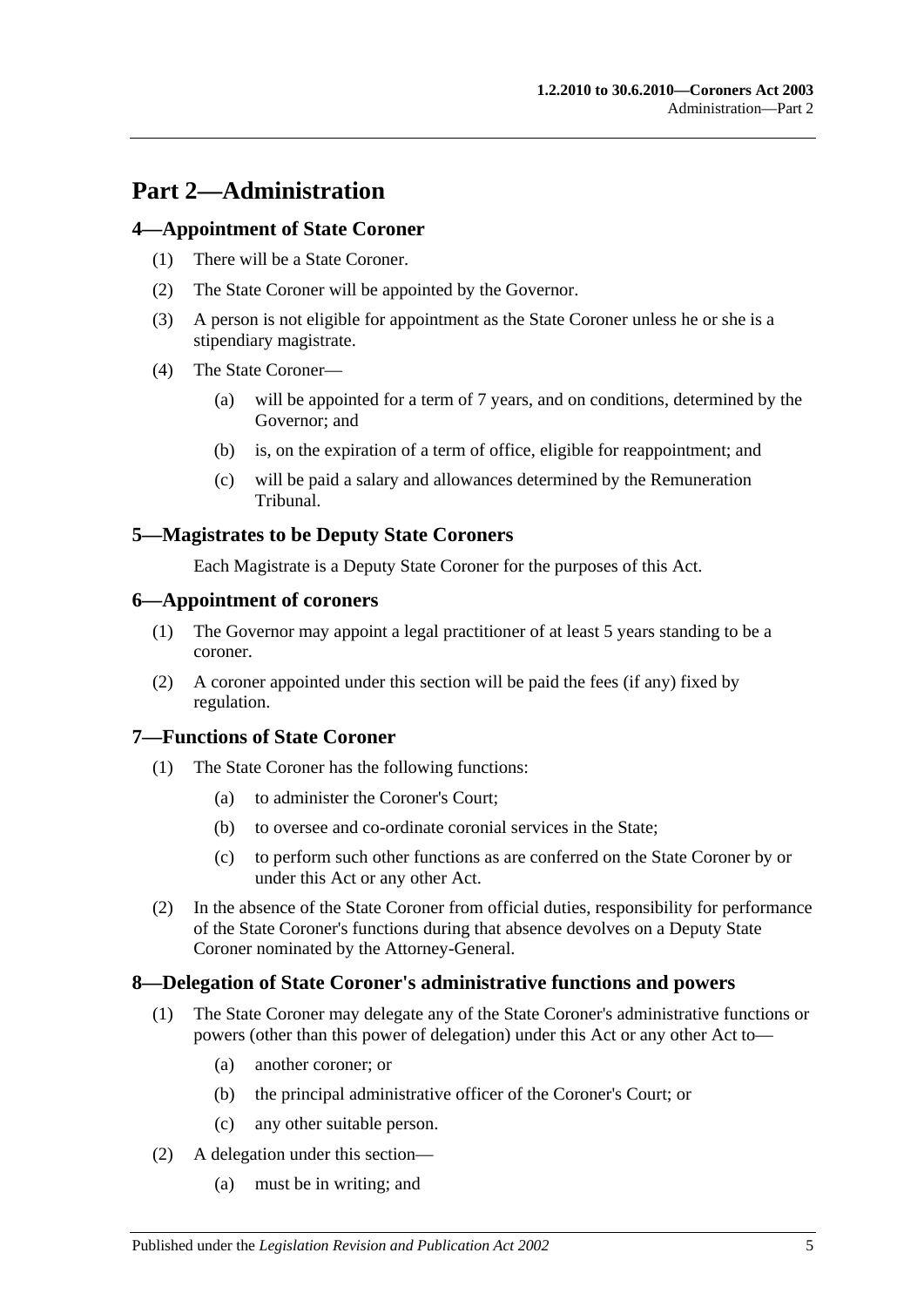## <span id="page-4-0"></span>**Part 2—Administration**

### <span id="page-4-1"></span>**4—Appointment of State Coroner**

- (1) There will be a State Coroner.
- (2) The State Coroner will be appointed by the Governor.
- (3) A person is not eligible for appointment as the State Coroner unless he or she is a stipendiary magistrate.
- (4) The State Coroner—
	- (a) will be appointed for a term of 7 years, and on conditions, determined by the Governor; and
	- (b) is, on the expiration of a term of office, eligible for reappointment; and
	- (c) will be paid a salary and allowances determined by the Remuneration Tribunal.

## <span id="page-4-2"></span>**5—Magistrates to be Deputy State Coroners**

Each Magistrate is a Deputy State Coroner for the purposes of this Act.

#### <span id="page-4-3"></span>**6—Appointment of coroners**

- (1) The Governor may appoint a legal practitioner of at least 5 years standing to be a coroner.
- (2) A coroner appointed under this section will be paid the fees (if any) fixed by regulation.

## <span id="page-4-4"></span>**7—Functions of State Coroner**

- (1) The State Coroner has the following functions:
	- (a) to administer the Coroner's Court;
	- (b) to oversee and co-ordinate coronial services in the State;
	- (c) to perform such other functions as are conferred on the State Coroner by or under this Act or any other Act.
- (2) In the absence of the State Coroner from official duties, responsibility for performance of the State Coroner's functions during that absence devolves on a Deputy State Coroner nominated by the Attorney-General.

## <span id="page-4-5"></span>**8—Delegation of State Coroner's administrative functions and powers**

- (1) The State Coroner may delegate any of the State Coroner's administrative functions or powers (other than this power of delegation) under this Act or any other Act to—
	- (a) another coroner; or
	- (b) the principal administrative officer of the Coroner's Court; or
	- (c) any other suitable person.
- (2) A delegation under this section—
	- (a) must be in writing; and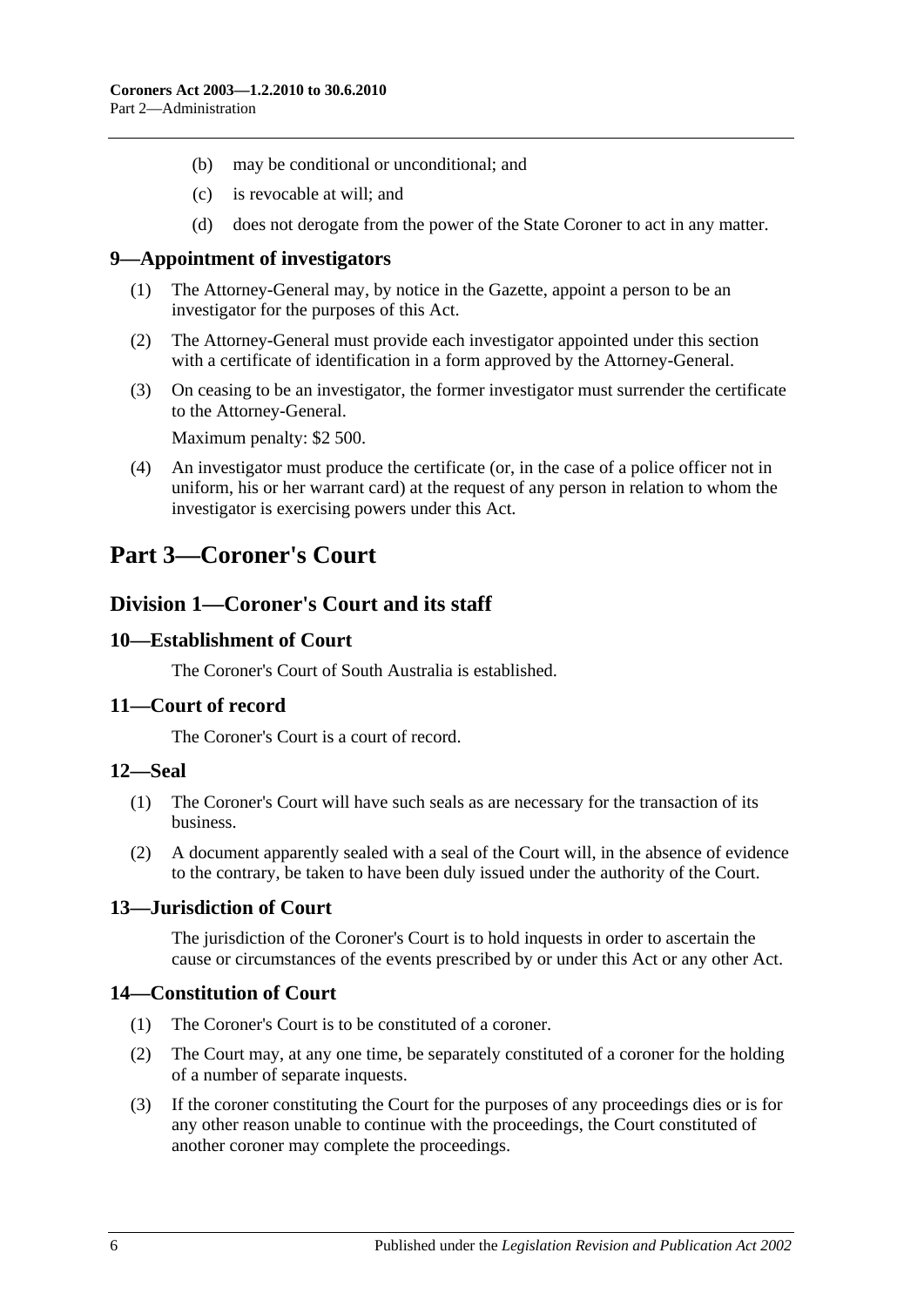- (b) may be conditional or unconditional; and
- (c) is revocable at will; and
- (d) does not derogate from the power of the State Coroner to act in any matter.

#### <span id="page-5-0"></span>**9—Appointment of investigators**

- (1) The Attorney-General may, by notice in the Gazette, appoint a person to be an investigator for the purposes of this Act.
- (2) The Attorney-General must provide each investigator appointed under this section with a certificate of identification in a form approved by the Attorney-General.
- (3) On ceasing to be an investigator, the former investigator must surrender the certificate to the Attorney-General.

Maximum penalty: \$2 500.

(4) An investigator must produce the certificate (or, in the case of a police officer not in uniform, his or her warrant card) at the request of any person in relation to whom the investigator is exercising powers under this Act.

## <span id="page-5-2"></span><span id="page-5-1"></span>**Part 3—Coroner's Court**

## **Division 1—Coroner's Court and its staff**

#### <span id="page-5-3"></span>**10—Establishment of Court**

The Coroner's Court of South Australia is established.

#### <span id="page-5-4"></span>**11—Court of record**

The Coroner's Court is a court of record.

#### <span id="page-5-5"></span>**12—Seal**

- (1) The Coroner's Court will have such seals as are necessary for the transaction of its business.
- (2) A document apparently sealed with a seal of the Court will, in the absence of evidence to the contrary, be taken to have been duly issued under the authority of the Court.

## <span id="page-5-6"></span>**13—Jurisdiction of Court**

The jurisdiction of the Coroner's Court is to hold inquests in order to ascertain the cause or circumstances of the events prescribed by or under this Act or any other Act.

## <span id="page-5-7"></span>**14—Constitution of Court**

- (1) The Coroner's Court is to be constituted of a coroner.
- (2) The Court may, at any one time, be separately constituted of a coroner for the holding of a number of separate inquests.
- (3) If the coroner constituting the Court for the purposes of any proceedings dies or is for any other reason unable to continue with the proceedings, the Court constituted of another coroner may complete the proceedings.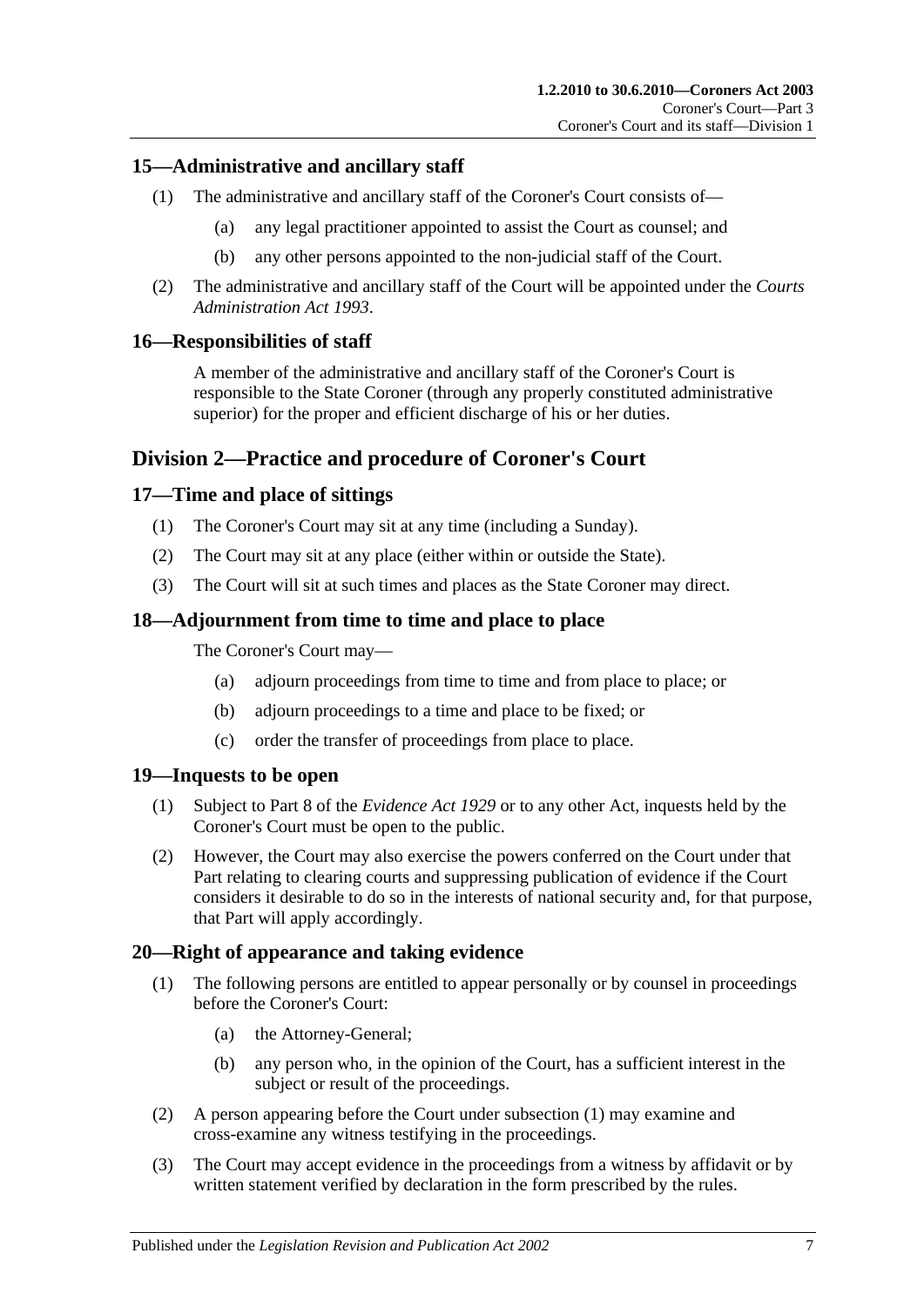## <span id="page-6-0"></span>**15—Administrative and ancillary staff**

- (1) The administrative and ancillary staff of the Coroner's Court consists of—
	- (a) any legal practitioner appointed to assist the Court as counsel; and
	- (b) any other persons appointed to the non-judicial staff of the Court.
- (2) The administrative and ancillary staff of the Court will be appointed under the *[Courts](http://www.legislation.sa.gov.au/index.aspx?action=legref&type=act&legtitle=Courts%20Administration%20Act%201993)  [Administration Act](http://www.legislation.sa.gov.au/index.aspx?action=legref&type=act&legtitle=Courts%20Administration%20Act%201993) 1993*.

## <span id="page-6-1"></span>**16—Responsibilities of staff**

A member of the administrative and ancillary staff of the Coroner's Court is responsible to the State Coroner (through any properly constituted administrative superior) for the proper and efficient discharge of his or her duties.

## <span id="page-6-2"></span>**Division 2—Practice and procedure of Coroner's Court**

## <span id="page-6-3"></span>**17—Time and place of sittings**

- (1) The Coroner's Court may sit at any time (including a Sunday).
- (2) The Court may sit at any place (either within or outside the State).
- (3) The Court will sit at such times and places as the State Coroner may direct.

## <span id="page-6-4"></span>**18—Adjournment from time to time and place to place**

The Coroner's Court may—

- (a) adjourn proceedings from time to time and from place to place; or
- (b) adjourn proceedings to a time and place to be fixed; or
- (c) order the transfer of proceedings from place to place.

## <span id="page-6-5"></span>**19—Inquests to be open**

- (1) Subject to Part 8 of the *[Evidence Act](http://www.legislation.sa.gov.au/index.aspx?action=legref&type=act&legtitle=Evidence%20Act%201929) 1929* or to any other Act, inquests held by the Coroner's Court must be open to the public.
- (2) However, the Court may also exercise the powers conferred on the Court under that Part relating to clearing courts and suppressing publication of evidence if the Court considers it desirable to do so in the interests of national security and, for that purpose, that Part will apply accordingly.

## <span id="page-6-7"></span><span id="page-6-6"></span>**20—Right of appearance and taking evidence**

- (1) The following persons are entitled to appear personally or by counsel in proceedings before the Coroner's Court:
	- (a) the Attorney-General;
	- (b) any person who, in the opinion of the Court, has a sufficient interest in the subject or result of the proceedings.
- (2) A person appearing before the Court under [subsection](#page-6-7) (1) may examine and cross-examine any witness testifying in the proceedings.
- (3) The Court may accept evidence in the proceedings from a witness by affidavit or by written statement verified by declaration in the form prescribed by the rules.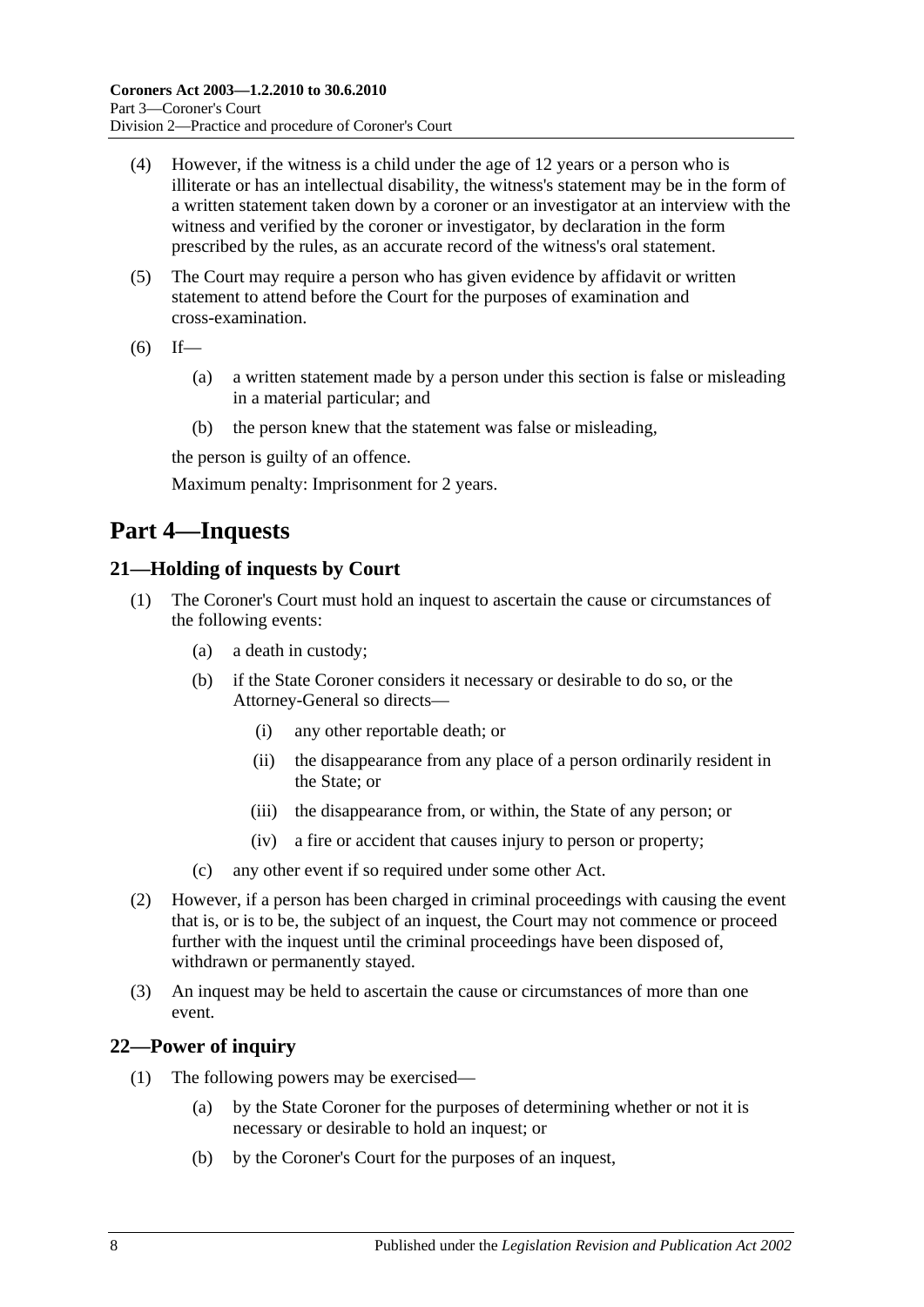- (4) However, if the witness is a child under the age of 12 years or a person who is illiterate or has an intellectual disability, the witness's statement may be in the form of a written statement taken down by a coroner or an investigator at an interview with the witness and verified by the coroner or investigator, by declaration in the form prescribed by the rules, as an accurate record of the witness's oral statement.
- (5) The Court may require a person who has given evidence by affidavit or written statement to attend before the Court for the purposes of examination and cross-examination.
- $(6)$  If—
	- (a) a written statement made by a person under this section is false or misleading in a material particular; and
	- (b) the person knew that the statement was false or misleading,

the person is guilty of an offence.

Maximum penalty: Imprisonment for 2 years.

## <span id="page-7-0"></span>**Part 4—Inquests**

## <span id="page-7-1"></span>**21—Holding of inquests by Court**

- (1) The Coroner's Court must hold an inquest to ascertain the cause or circumstances of the following events:
	- (a) a death in custody;
	- (b) if the State Coroner considers it necessary or desirable to do so, or the Attorney-General so directs—
		- (i) any other reportable death; or
		- (ii) the disappearance from any place of a person ordinarily resident in the State; or
		- (iii) the disappearance from, or within, the State of any person; or
		- (iv) a fire or accident that causes injury to person or property;
	- (c) any other event if so required under some other Act.
- (2) However, if a person has been charged in criminal proceedings with causing the event that is, or is to be, the subject of an inquest, the Court may not commence or proceed further with the inquest until the criminal proceedings have been disposed of, withdrawn or permanently stayed.
- (3) An inquest may be held to ascertain the cause or circumstances of more than one event.

## <span id="page-7-2"></span>**22—Power of inquiry**

- (1) The following powers may be exercised—
	- (a) by the State Coroner for the purposes of determining whether or not it is necessary or desirable to hold an inquest; or
	- (b) by the Coroner's Court for the purposes of an inquest,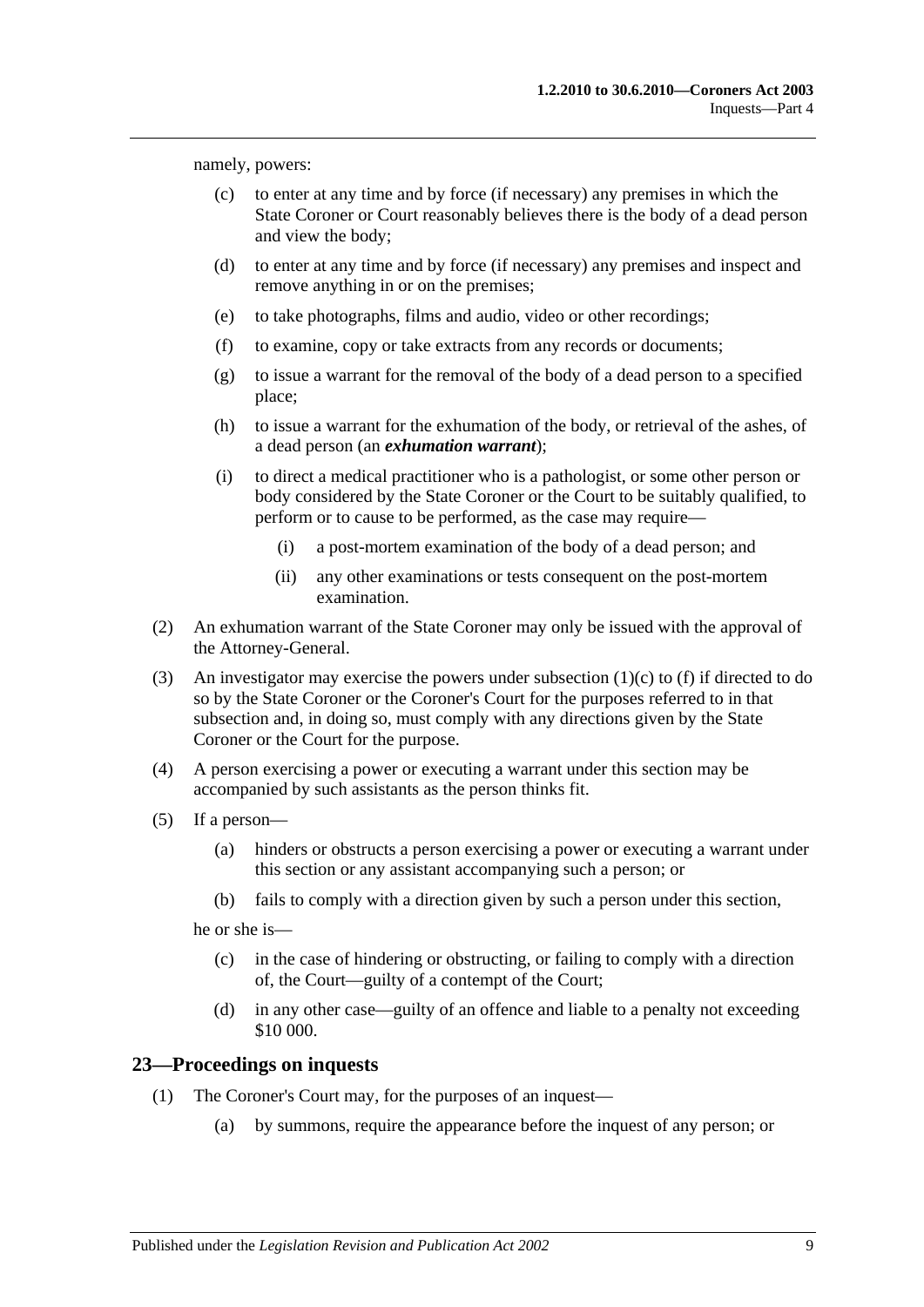<span id="page-8-1"></span>namely, powers:

- (c) to enter at any time and by force (if necessary) any premises in which the State Coroner or Court reasonably believes there is the body of a dead person and view the body;
- (d) to enter at any time and by force (if necessary) any premises and inspect and remove anything in or on the premises;
- (e) to take photographs, films and audio, video or other recordings;
- <span id="page-8-2"></span>(f) to examine, copy or take extracts from any records or documents;
- (g) to issue a warrant for the removal of the body of a dead person to a specified place;
- (h) to issue a warrant for the exhumation of the body, or retrieval of the ashes, of a dead person (an *exhumation warrant*);
- (i) to direct a medical practitioner who is a pathologist, or some other person or body considered by the State Coroner or the Court to be suitably qualified, to perform or to cause to be performed, as the case may require—
	- (i) a post-mortem examination of the body of a dead person; and
	- (ii) any other examinations or tests consequent on the post-mortem examination.
- (2) An exhumation warrant of the State Coroner may only be issued with the approval of the Attorney-General.
- (3) An investigator may exercise the powers under [subsection](#page-8-1) (1)(c) to [\(f\)](#page-8-2) if directed to do so by the State Coroner or the Coroner's Court for the purposes referred to in that subsection and, in doing so, must comply with any directions given by the State Coroner or the Court for the purpose.
- (4) A person exercising a power or executing a warrant under this section may be accompanied by such assistants as the person thinks fit.
- (5) If a person—
	- (a) hinders or obstructs a person exercising a power or executing a warrant under this section or any assistant accompanying such a person; or
	- (b) fails to comply with a direction given by such a person under this section,

he or she is—

- (c) in the case of hindering or obstructing, or failing to comply with a direction of, the Court—guilty of a contempt of the Court;
- (d) in any other case—guilty of an offence and liable to a penalty not exceeding \$10 000.

#### <span id="page-8-0"></span>**23—Proceedings on inquests**

- (1) The Coroner's Court may, for the purposes of an inquest—
	- (a) by summons, require the appearance before the inquest of any person; or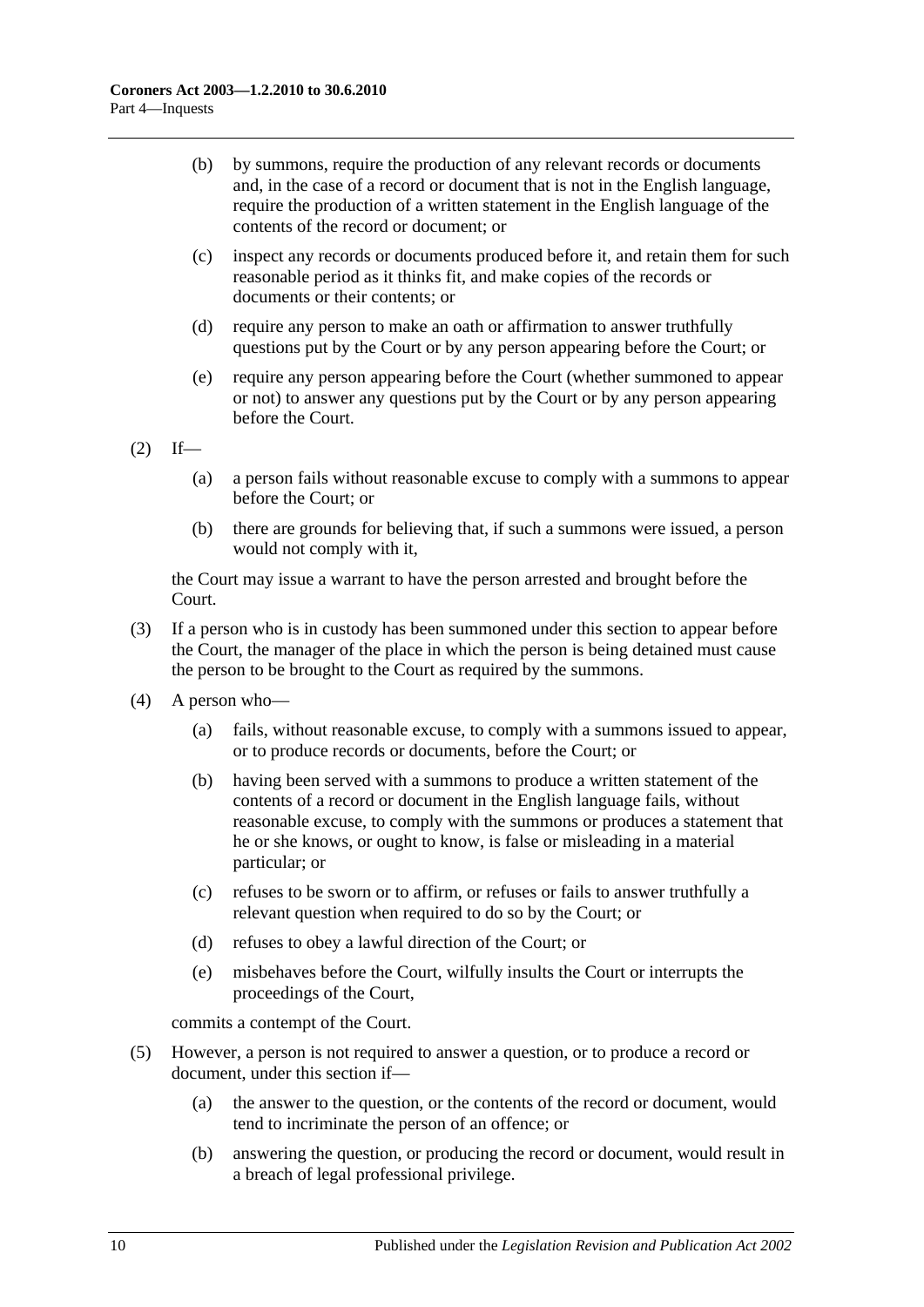- (b) by summons, require the production of any relevant records or documents and, in the case of a record or document that is not in the English language, require the production of a written statement in the English language of the contents of the record or document; or
- (c) inspect any records or documents produced before it, and retain them for such reasonable period as it thinks fit, and make copies of the records or documents or their contents; or
- (d) require any person to make an oath or affirmation to answer truthfully questions put by the Court or by any person appearing before the Court; or
- (e) require any person appearing before the Court (whether summoned to appear or not) to answer any questions put by the Court or by any person appearing before the Court.

 $(2)$  If—

- (a) a person fails without reasonable excuse to comply with a summons to appear before the Court; or
- (b) there are grounds for believing that, if such a summons were issued, a person would not comply with it,

the Court may issue a warrant to have the person arrested and brought before the Court.

- (3) If a person who is in custody has been summoned under this section to appear before the Court, the manager of the place in which the person is being detained must cause the person to be brought to the Court as required by the summons.
- (4) A person who—
	- (a) fails, without reasonable excuse, to comply with a summons issued to appear, or to produce records or documents, before the Court; or
	- (b) having been served with a summons to produce a written statement of the contents of a record or document in the English language fails, without reasonable excuse, to comply with the summons or produces a statement that he or she knows, or ought to know, is false or misleading in a material particular; or
	- (c) refuses to be sworn or to affirm, or refuses or fails to answer truthfully a relevant question when required to do so by the Court; or
	- (d) refuses to obey a lawful direction of the Court; or
	- (e) misbehaves before the Court, wilfully insults the Court or interrupts the proceedings of the Court,

commits a contempt of the Court.

- (5) However, a person is not required to answer a question, or to produce a record or document, under this section if—
	- (a) the answer to the question, or the contents of the record or document, would tend to incriminate the person of an offence; or
	- (b) answering the question, or producing the record or document, would result in a breach of legal professional privilege.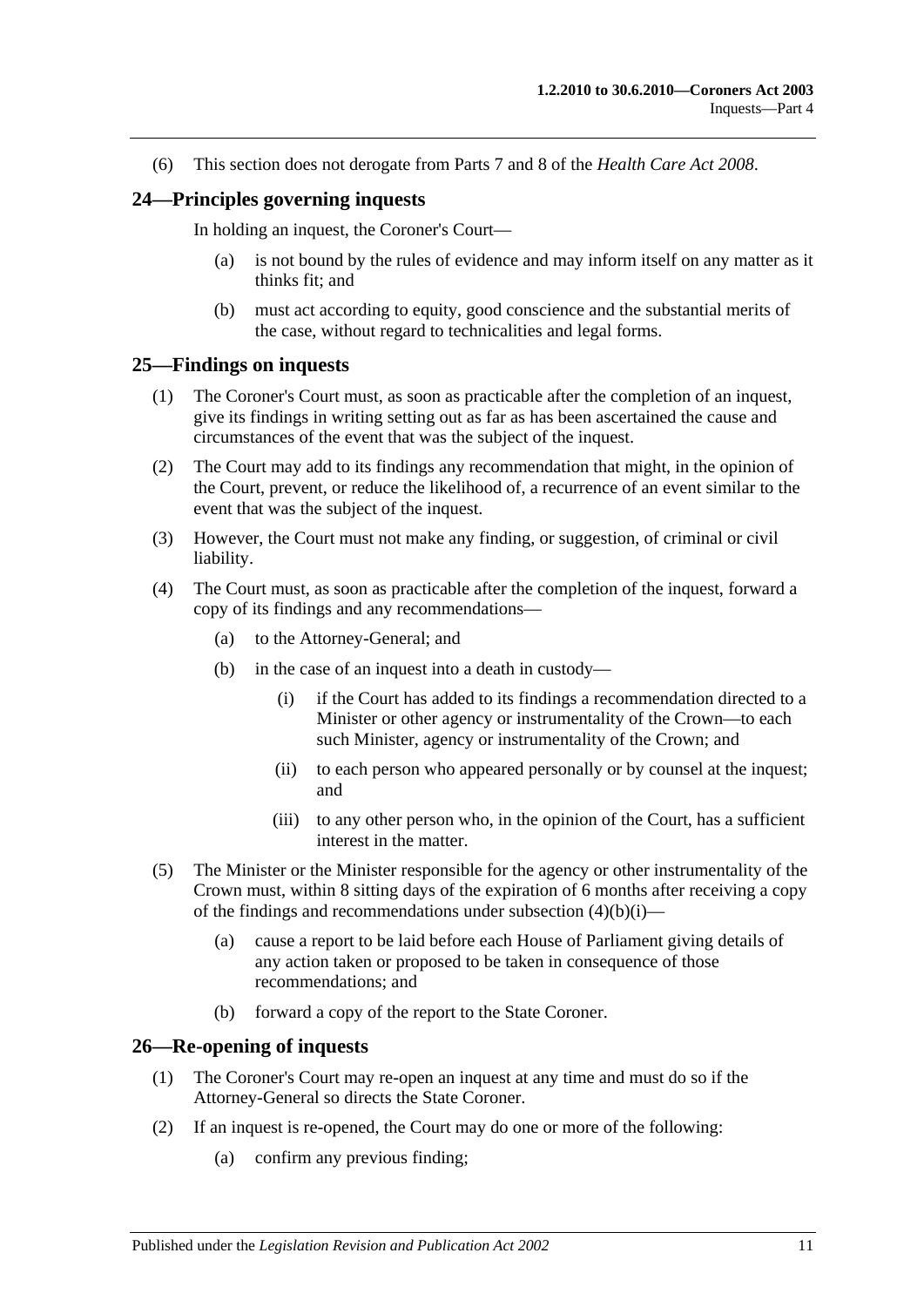(6) This section does not derogate from Parts 7 and 8 of the *[Health Care Act](http://www.legislation.sa.gov.au/index.aspx?action=legref&type=act&legtitle=Health%20Care%20Act%202008) 2008*.

#### <span id="page-10-0"></span>**24—Principles governing inquests**

In holding an inquest, the Coroner's Court—

- (a) is not bound by the rules of evidence and may inform itself on any matter as it thinks fit; and
- (b) must act according to equity, good conscience and the substantial merits of the case, without regard to technicalities and legal forms.

#### <span id="page-10-1"></span>**25—Findings on inquests**

- (1) The Coroner's Court must, as soon as practicable after the completion of an inquest, give its findings in writing setting out as far as has been ascertained the cause and circumstances of the event that was the subject of the inquest.
- (2) The Court may add to its findings any recommendation that might, in the opinion of the Court, prevent, or reduce the likelihood of, a recurrence of an event similar to the event that was the subject of the inquest.
- (3) However, the Court must not make any finding, or suggestion, of criminal or civil liability.
- <span id="page-10-3"></span>(4) The Court must, as soon as practicable after the completion of the inquest, forward a copy of its findings and any recommendations—
	- (a) to the Attorney-General; and
	- (b) in the case of an inquest into a death in custody—
		- (i) if the Court has added to its findings a recommendation directed to a Minister or other agency or instrumentality of the Crown—to each such Minister, agency or instrumentality of the Crown; and
		- (ii) to each person who appeared personally or by counsel at the inquest; and
		- (iii) to any other person who, in the opinion of the Court, has a sufficient interest in the matter.
- (5) The Minister or the Minister responsible for the agency or other instrumentality of the Crown must, within 8 sitting days of the expiration of 6 months after receiving a copy of the findings and recommendations under [subsection](#page-10-3)  $(4)(b)(i)$ —
	- (a) cause a report to be laid before each House of Parliament giving details of any action taken or proposed to be taken in consequence of those recommendations; and
	- (b) forward a copy of the report to the State Coroner.

#### <span id="page-10-2"></span>**26—Re-opening of inquests**

- (1) The Coroner's Court may re-open an inquest at any time and must do so if the Attorney-General so directs the State Coroner.
- (2) If an inquest is re-opened, the Court may do one or more of the following:
	- (a) confirm any previous finding;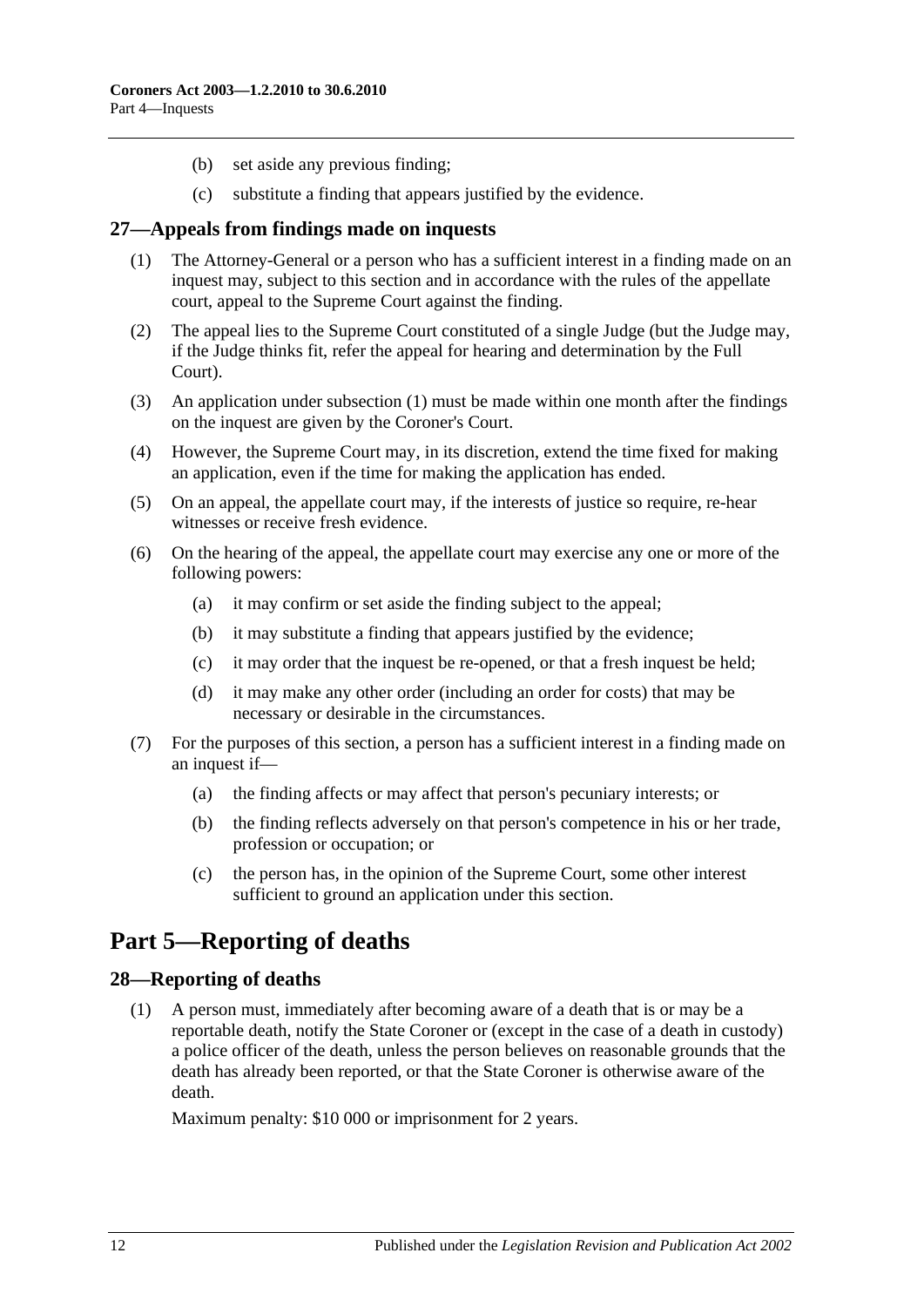- (b) set aside any previous finding;
- (c) substitute a finding that appears justified by the evidence.

#### <span id="page-11-3"></span><span id="page-11-0"></span>**27—Appeals from findings made on inquests**

- (1) The Attorney-General or a person who has a sufficient interest in a finding made on an inquest may, subject to this section and in accordance with the rules of the appellate court, appeal to the Supreme Court against the finding.
- (2) The appeal lies to the Supreme Court constituted of a single Judge (but the Judge may, if the Judge thinks fit, refer the appeal for hearing and determination by the Full Court).
- (3) An application under [subsection](#page-11-3) (1) must be made within one month after the findings on the inquest are given by the Coroner's Court.
- (4) However, the Supreme Court may, in its discretion, extend the time fixed for making an application, even if the time for making the application has ended.
- (5) On an appeal, the appellate court may, if the interests of justice so require, re-hear witnesses or receive fresh evidence.
- (6) On the hearing of the appeal, the appellate court may exercise any one or more of the following powers:
	- (a) it may confirm or set aside the finding subject to the appeal;
	- (b) it may substitute a finding that appears justified by the evidence;
	- (c) it may order that the inquest be re-opened, or that a fresh inquest be held;
	- (d) it may make any other order (including an order for costs) that may be necessary or desirable in the circumstances.
- (7) For the purposes of this section, a person has a sufficient interest in a finding made on an inquest if—
	- (a) the finding affects or may affect that person's pecuniary interests; or
	- (b) the finding reflects adversely on that person's competence in his or her trade, profession or occupation; or
	- (c) the person has, in the opinion of the Supreme Court, some other interest sufficient to ground an application under this section.

## <span id="page-11-1"></span>**Part 5—Reporting of deaths**

#### <span id="page-11-2"></span>**28—Reporting of deaths**

(1) A person must, immediately after becoming aware of a death that is or may be a reportable death, notify the State Coroner or (except in the case of a death in custody) a police officer of the death, unless the person believes on reasonable grounds that the death has already been reported, or that the State Coroner is otherwise aware of the death.

Maximum penalty: \$10 000 or imprisonment for 2 years.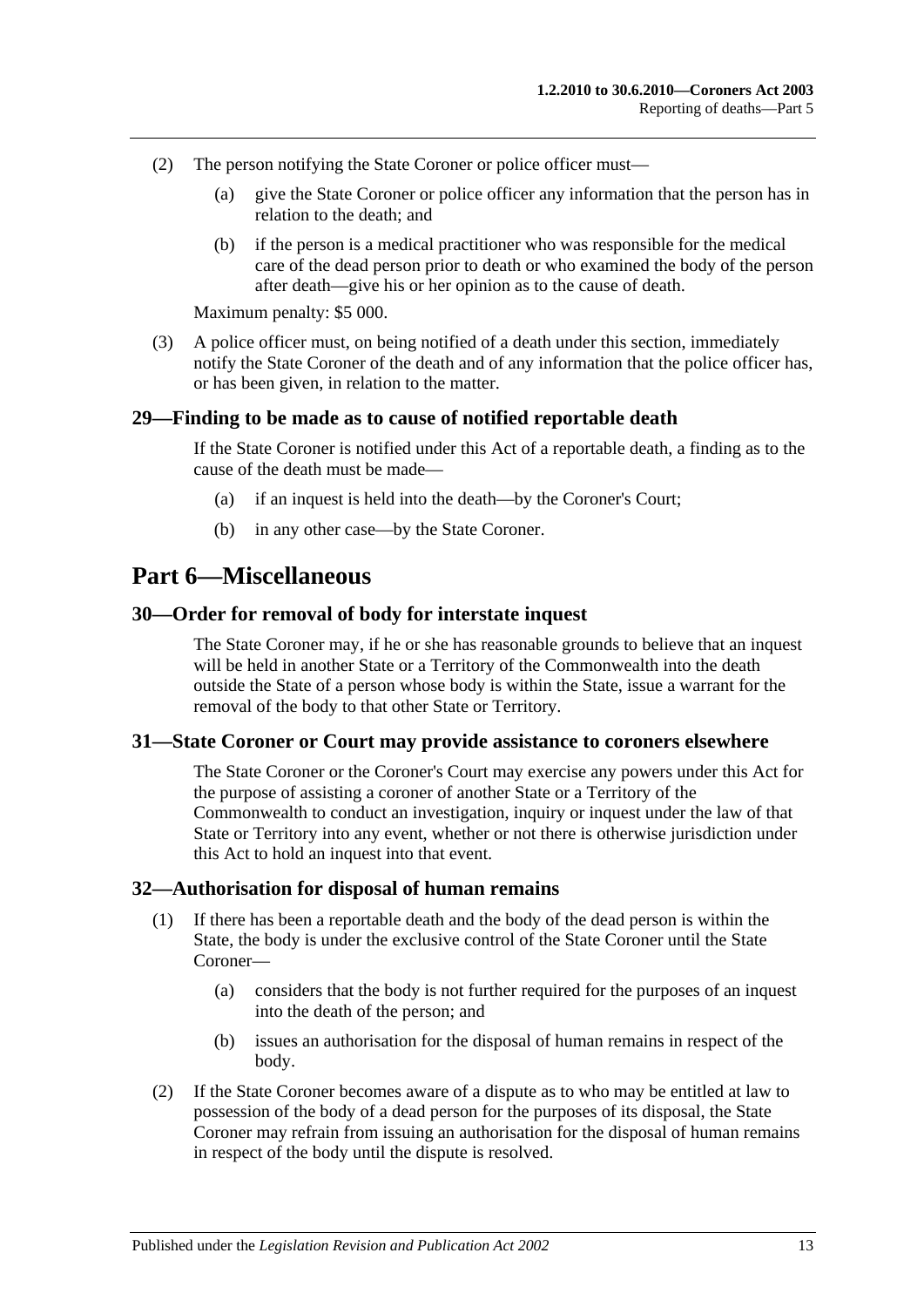- (2) The person notifying the State Coroner or police officer must—
	- (a) give the State Coroner or police officer any information that the person has in relation to the death; and
	- (b) if the person is a medical practitioner who was responsible for the medical care of the dead person prior to death or who examined the body of the person after death—give his or her opinion as to the cause of death.

Maximum penalty: \$5 000.

(3) A police officer must, on being notified of a death under this section, immediately notify the State Coroner of the death and of any information that the police officer has, or has been given, in relation to the matter.

#### <span id="page-12-0"></span>**29—Finding to be made as to cause of notified reportable death**

If the State Coroner is notified under this Act of a reportable death, a finding as to the cause of the death must be made—

- (a) if an inquest is held into the death—by the Coroner's Court;
- (b) in any other case—by the State Coroner.

## <span id="page-12-1"></span>**Part 6—Miscellaneous**

#### <span id="page-12-2"></span>**30—Order for removal of body for interstate inquest**

The State Coroner may, if he or she has reasonable grounds to believe that an inquest will be held in another State or a Territory of the Commonwealth into the death outside the State of a person whose body is within the State, issue a warrant for the removal of the body to that other State or Territory.

#### <span id="page-12-3"></span>**31—State Coroner or Court may provide assistance to coroners elsewhere**

The State Coroner or the Coroner's Court may exercise any powers under this Act for the purpose of assisting a coroner of another State or a Territory of the Commonwealth to conduct an investigation, inquiry or inquest under the law of that State or Territory into any event, whether or not there is otherwise jurisdiction under this Act to hold an inquest into that event.

#### <span id="page-12-4"></span>**32—Authorisation for disposal of human remains**

- (1) If there has been a reportable death and the body of the dead person is within the State, the body is under the exclusive control of the State Coroner until the State Coroner—
	- (a) considers that the body is not further required for the purposes of an inquest into the death of the person; and
	- (b) issues an authorisation for the disposal of human remains in respect of the body.
- (2) If the State Coroner becomes aware of a dispute as to who may be entitled at law to possession of the body of a dead person for the purposes of its disposal, the State Coroner may refrain from issuing an authorisation for the disposal of human remains in respect of the body until the dispute is resolved.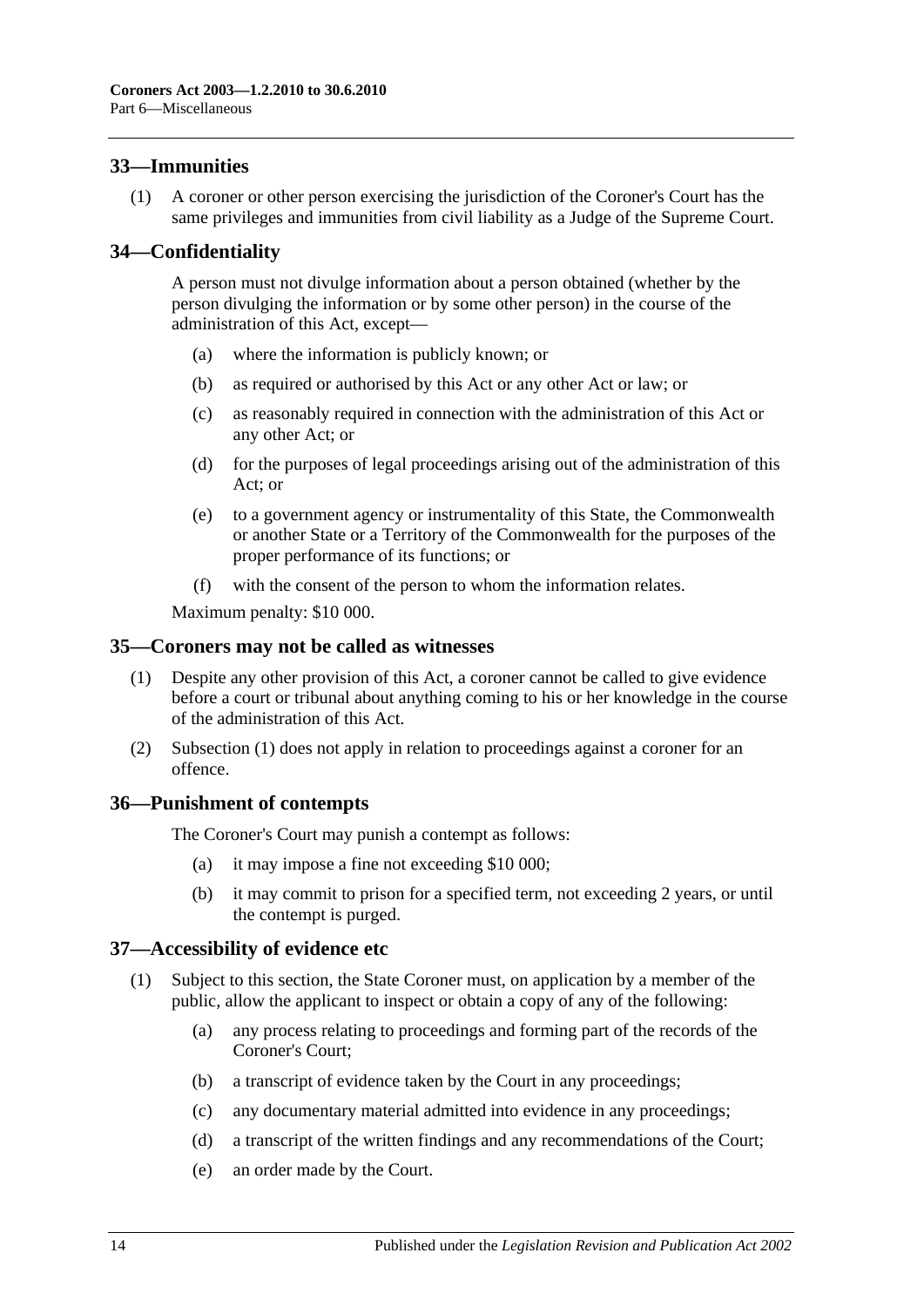## <span id="page-13-0"></span>**33—Immunities**

(1) A coroner or other person exercising the jurisdiction of the Coroner's Court has the same privileges and immunities from civil liability as a Judge of the Supreme Court.

## <span id="page-13-1"></span>**34—Confidentiality**

A person must not divulge information about a person obtained (whether by the person divulging the information or by some other person) in the course of the administration of this Act, except—

- (a) where the information is publicly known; or
- (b) as required or authorised by this Act or any other Act or law; or
- (c) as reasonably required in connection with the administration of this Act or any other Act; or
- (d) for the purposes of legal proceedings arising out of the administration of this Act; or
- (e) to a government agency or instrumentality of this State, the Commonwealth or another State or a Territory of the Commonwealth for the purposes of the proper performance of its functions; or
- (f) with the consent of the person to whom the information relates.

Maximum penalty: \$10 000.

#### <span id="page-13-5"></span><span id="page-13-2"></span>**35—Coroners may not be called as witnesses**

- (1) Despite any other provision of this Act, a coroner cannot be called to give evidence before a court or tribunal about anything coming to his or her knowledge in the course of the administration of this Act.
- (2) [Subsection](#page-13-5) (1) does not apply in relation to proceedings against a coroner for an offence.

#### <span id="page-13-3"></span>**36—Punishment of contempts**

The Coroner's Court may punish a contempt as follows:

- (a) it may impose a fine not exceeding \$10 000;
- (b) it may commit to prison for a specified term, not exceeding 2 years, or until the contempt is purged.

#### <span id="page-13-4"></span>**37—Accessibility of evidence etc**

- (1) Subject to this section, the State Coroner must, on application by a member of the public, allow the applicant to inspect or obtain a copy of any of the following:
	- (a) any process relating to proceedings and forming part of the records of the Coroner's Court;
	- (b) a transcript of evidence taken by the Court in any proceedings;
	- (c) any documentary material admitted into evidence in any proceedings;
	- (d) a transcript of the written findings and any recommendations of the Court;
	- (e) an order made by the Court.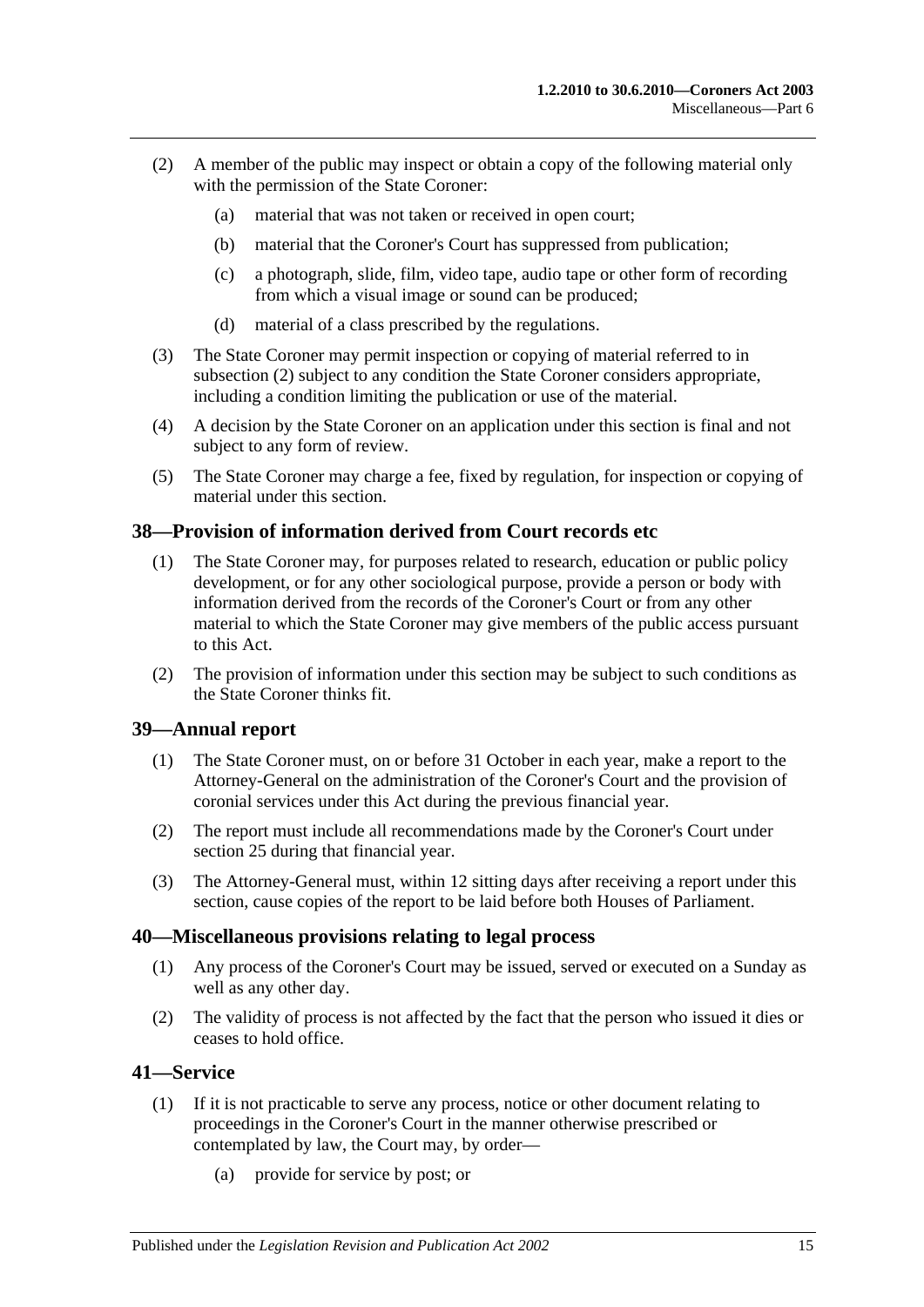- <span id="page-14-4"></span>(2) A member of the public may inspect or obtain a copy of the following material only with the permission of the State Coroner:
	- (a) material that was not taken or received in open court;
	- (b) material that the Coroner's Court has suppressed from publication;
	- (c) a photograph, slide, film, video tape, audio tape or other form of recording from which a visual image or sound can be produced;
	- (d) material of a class prescribed by the regulations.
- (3) The State Coroner may permit inspection or copying of material referred to in [subsection](#page-14-4) (2) subject to any condition the State Coroner considers appropriate, including a condition limiting the publication or use of the material.
- (4) A decision by the State Coroner on an application under this section is final and not subject to any form of review.
- (5) The State Coroner may charge a fee, fixed by regulation, for inspection or copying of material under this section.

## <span id="page-14-0"></span>**38—Provision of information derived from Court records etc**

- (1) The State Coroner may, for purposes related to research, education or public policy development, or for any other sociological purpose, provide a person or body with information derived from the records of the Coroner's Court or from any other material to which the State Coroner may give members of the public access pursuant to this Act.
- (2) The provision of information under this section may be subject to such conditions as the State Coroner thinks fit.

## <span id="page-14-1"></span>**39—Annual report**

- (1) The State Coroner must, on or before 31 October in each year, make a report to the Attorney-General on the administration of the Coroner's Court and the provision of coronial services under this Act during the previous financial year.
- (2) The report must include all recommendations made by the Coroner's Court under [section](#page-10-1) 25 during that financial year.
- (3) The Attorney-General must, within 12 sitting days after receiving a report under this section, cause copies of the report to be laid before both Houses of Parliament.

## <span id="page-14-2"></span>**40—Miscellaneous provisions relating to legal process**

- (1) Any process of the Coroner's Court may be issued, served or executed on a Sunday as well as any other day.
- (2) The validity of process is not affected by the fact that the person who issued it dies or ceases to hold office.

## <span id="page-14-5"></span><span id="page-14-3"></span>**41—Service**

- (1) If it is not practicable to serve any process, notice or other document relating to proceedings in the Coroner's Court in the manner otherwise prescribed or contemplated by law, the Court may, by order—
	- (a) provide for service by post; or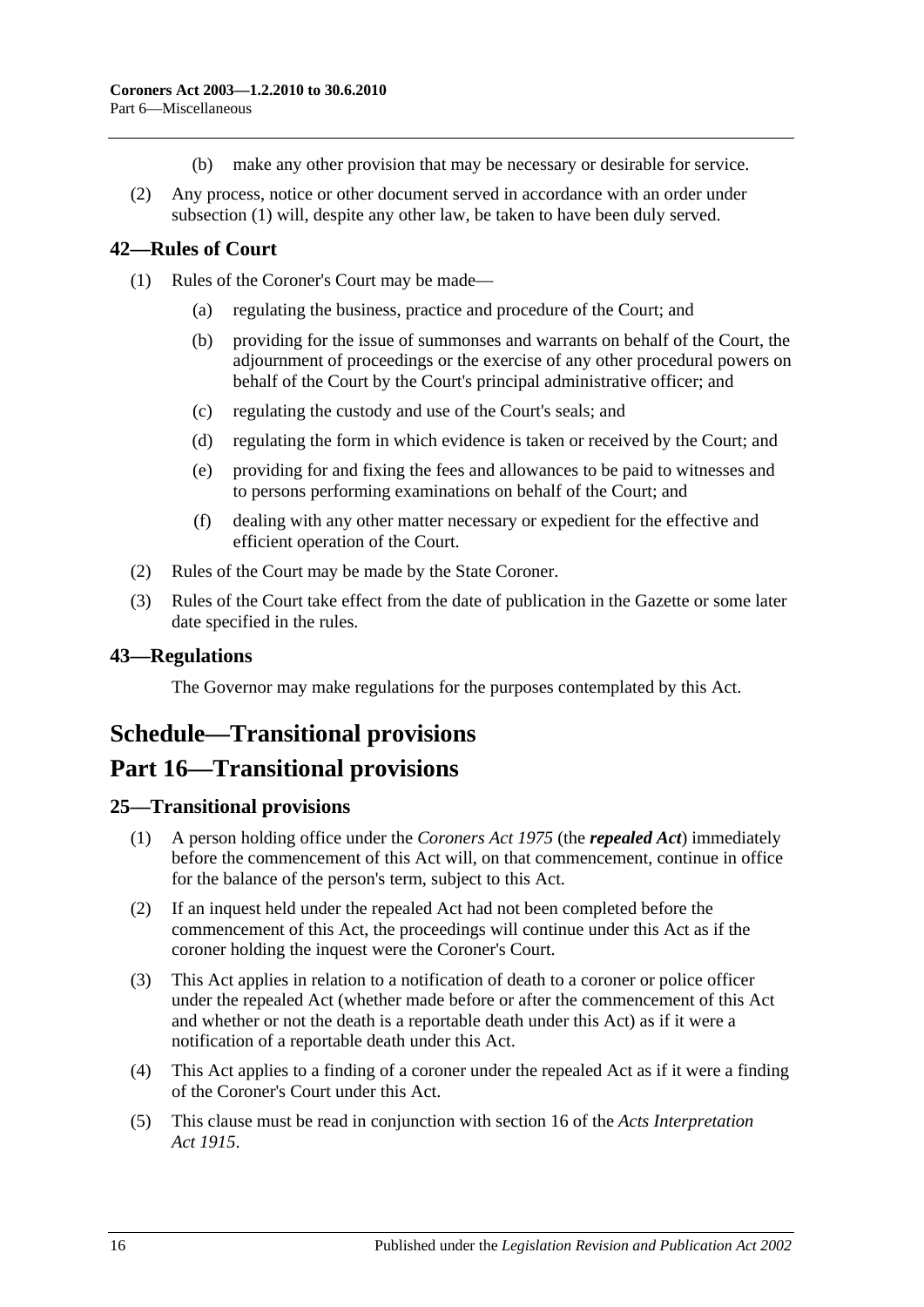- (b) make any other provision that may be necessary or desirable for service.
- (2) Any process, notice or other document served in accordance with an order under [subsection](#page-14-5) (1) will, despite any other law, be taken to have been duly served.

## <span id="page-15-0"></span>**42—Rules of Court**

- (1) Rules of the Coroner's Court may be made—
	- (a) regulating the business, practice and procedure of the Court; and
	- (b) providing for the issue of summonses and warrants on behalf of the Court, the adjournment of proceedings or the exercise of any other procedural powers on behalf of the Court by the Court's principal administrative officer; and
	- (c) regulating the custody and use of the Court's seals; and
	- (d) regulating the form in which evidence is taken or received by the Court; and
	- (e) providing for and fixing the fees and allowances to be paid to witnesses and to persons performing examinations on behalf of the Court; and
	- (f) dealing with any other matter necessary or expedient for the effective and efficient operation of the Court.
- (2) Rules of the Court may be made by the State Coroner.
- (3) Rules of the Court take effect from the date of publication in the Gazette or some later date specified in the rules.

## <span id="page-15-1"></span>**43—Regulations**

The Governor may make regulations for the purposes contemplated by this Act.

## <span id="page-15-2"></span>**Schedule—Transitional provisions**

## **Part 16—Transitional provisions**

#### <span id="page-15-3"></span>**25—Transitional provisions**

- (1) A person holding office under the *[Coroners Act](http://www.legislation.sa.gov.au/index.aspx?action=legref&type=act&legtitle=Coroners%20Act%201975) 1975* (the *repealed Act*) immediately before the commencement of this Act will, on that commencement, continue in office for the balance of the person's term, subject to this Act.
- (2) If an inquest held under the repealed Act had not been completed before the commencement of this Act, the proceedings will continue under this Act as if the coroner holding the inquest were the Coroner's Court.
- (3) This Act applies in relation to a notification of death to a coroner or police officer under the repealed Act (whether made before or after the commencement of this Act and whether or not the death is a reportable death under this Act) as if it were a notification of a reportable death under this Act.
- (4) This Act applies to a finding of a coroner under the repealed Act as if it were a finding of the Coroner's Court under this Act.
- (5) This clause must be read in conjunction with section 16 of the *[Acts Interpretation](http://www.legislation.sa.gov.au/index.aspx?action=legref&type=act&legtitle=Acts%20Interpretation%20Act%201915)  Act [1915](http://www.legislation.sa.gov.au/index.aspx?action=legref&type=act&legtitle=Acts%20Interpretation%20Act%201915)*.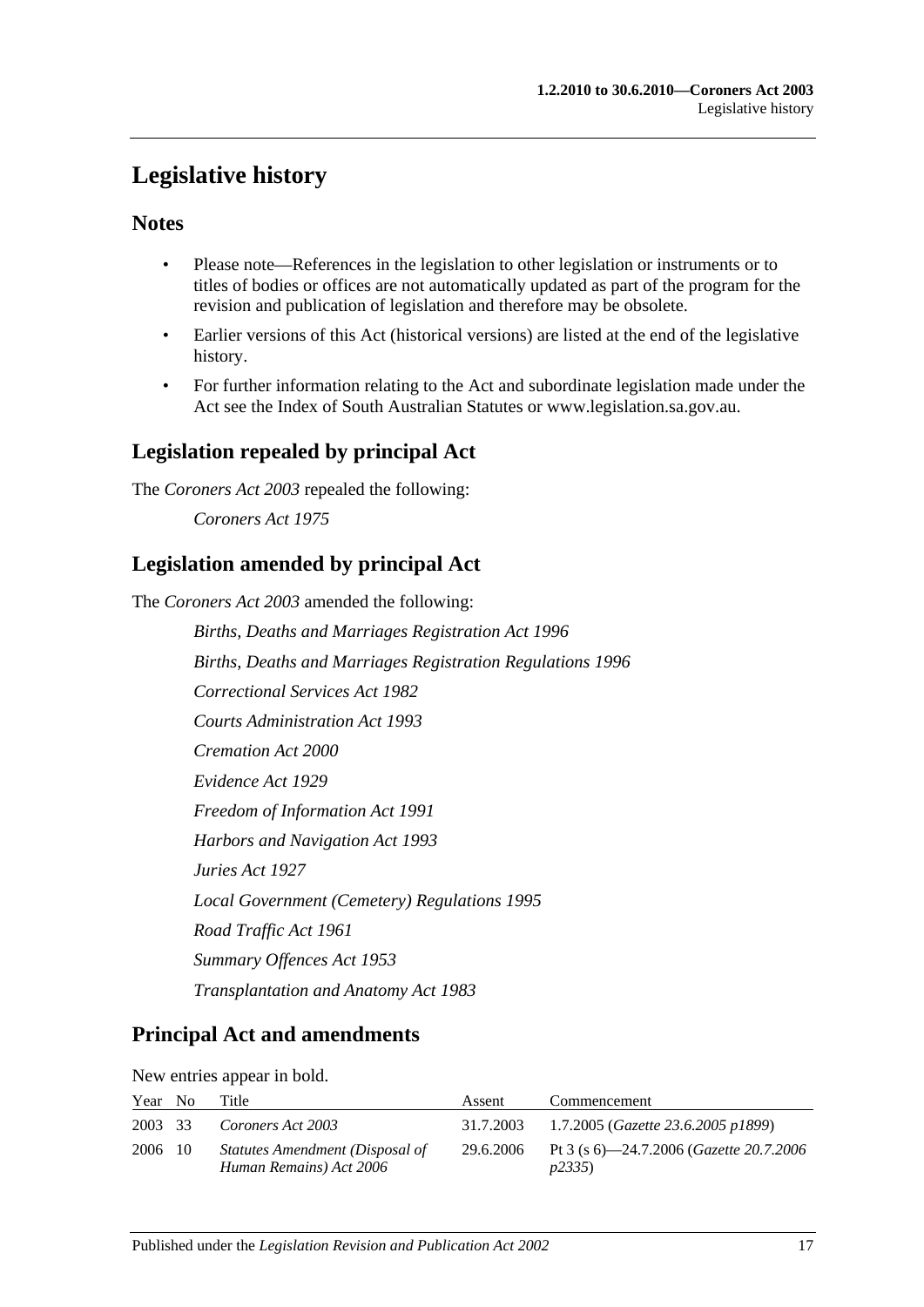## <span id="page-16-0"></span>**Legislative history**

## **Notes**

- Please note—References in the legislation to other legislation or instruments or to titles of bodies or offices are not automatically updated as part of the program for the revision and publication of legislation and therefore may be obsolete.
- Earlier versions of this Act (historical versions) are listed at the end of the legislative history.
- For further information relating to the Act and subordinate legislation made under the Act see the Index of South Australian Statutes or www.legislation.sa.gov.au.

## **Legislation repealed by principal Act**

The *Coroners Act 2003* repealed the following:

*Coroners Act 1975*

## **Legislation amended by principal Act**

The *Coroners Act 2003* amended the following:

*Births, Deaths and Marriages Registration Act 1996 Births, Deaths and Marriages Registration Regulations 1996 Correctional Services Act 1982 Courts Administration Act 1993 Cremation Act 2000 Evidence Act 1929 Freedom of Information Act 1991 Harbors and Navigation Act 1993 Juries Act 1927 Local Government (Cemetery) Regulations 1995 Road Traffic Act 1961 Summary Offences Act 1953 Transplantation and Anatomy Act 1983*

## **Principal Act and amendments**

New entries appear in bold.

| Year No | Title                                                      | Assent | Commencement                                                       |
|---------|------------------------------------------------------------|--------|--------------------------------------------------------------------|
| 2003 33 | Coroners Act 2003                                          |        | 31.7.2003 1.7.2005 ( <i>Gazette 23.6.2005 p1899</i> )              |
| 2006 10 | Statutes Amendment (Disposal of<br>Human Remains) Act 2006 |        | 29.6.2006 Pt 3 (s 6)—24.7.2006 ( <i>Gazette 20.7.2006</i><br>p2335 |